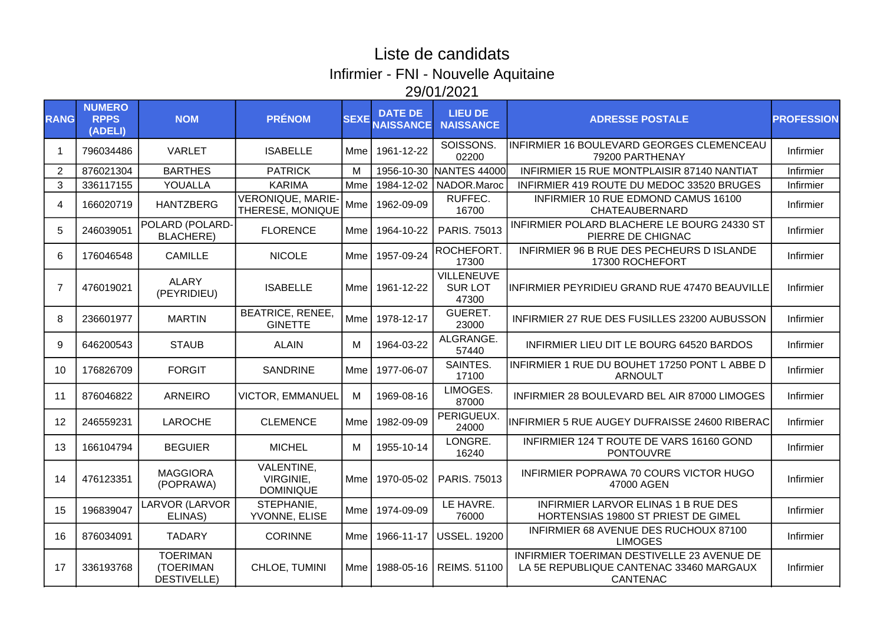## Liste de candidats Infirmier - FNI - Nouvelle Aquitaine 29/01/2021

| <b>RANG</b>    | <b>NUMERO</b><br><b>RPPS</b><br>(ADELI) | <b>NOM</b>                                         | <b>PRÉNOM</b>                                      | <b>SEXE</b> | <b>DATE DE</b><br><b>VAISSANCE</b> | <b>LIEU DE</b><br><b>NAISSANCE</b>          | <b>ADRESSE POSTALE</b>                                                                            | <b>PROFESSION</b> |
|----------------|-----------------------------------------|----------------------------------------------------|----------------------------------------------------|-------------|------------------------------------|---------------------------------------------|---------------------------------------------------------------------------------------------------|-------------------|
| -1             | 796034486                               | <b>VARLET</b>                                      | <b>ISABELLE</b>                                    | Mme         | 1961-12-22                         | SOISSONS.<br>02200                          | INFIRMIER 16 BOULEVARD GEORGES CLEMENCEAU<br>79200 PARTHENAY                                      | Infirmier         |
| $\overline{2}$ | 876021304                               | <b>BARTHES</b>                                     | <b>PATRICK</b>                                     | M           | 1956-10-30                         | NANTES 44000                                | INFIRMIER 15 RUE MONTPLAISIR 87140 NANTIAT                                                        | Infirmier         |
| 3              | 336117155                               | YOUALLA                                            | <b>KARIMA</b>                                      | Mme         | 1984-12-02                         | NADOR.Maroc                                 | INFIRMIER 419 ROUTE DU MEDOC 33520 BRUGES                                                         | Infirmier         |
| $\overline{4}$ | 166020719                               | <b>HANTZBERG</b>                                   | <b>VERONIQUE, MARIE-</b><br>THERESE, MONIQUE       |             | Mme   1962-09-09                   | RUFFEC.<br>16700                            | INFIRMIER 10 RUE EDMOND CAMUS 16100<br>CHATEAUBERNARD                                             | Infirmier         |
| 5              | 246039051                               | POLARD (POLARD-<br><b>BLACHERE)</b>                | <b>FLORENCE</b>                                    | Mme l       | 1964-10-22                         | PARIS. 75013                                | INFIRMIER POLARD BLACHERE LE BOURG 24330 ST<br>PIERRE DE CHIGNAC                                  | Infirmier         |
| 6              | 176046548                               | <b>CAMILLE</b>                                     | <b>NICOLE</b>                                      | Mme         | 1957-09-24                         | ROCHEFORT.<br>17300                         | INFIRMIER 96 B RUE DES PECHEURS D ISLANDE<br>17300 ROCHEFORT                                      | Infirmier         |
| $\overline{7}$ | 476019021                               | <b>ALARY</b><br>(PEYRIDIEU)                        | <b>ISABELLE</b>                                    | Mme         | 1961-12-22                         | <b>VILLENEUVE</b><br><b>SURLOT</b><br>47300 | INFIRMIER PEYRIDIEU GRAND RUE 47470 BEAUVILLE                                                     | Infirmier         |
| 8              | 236601977                               | <b>MARTIN</b>                                      | <b>BEATRICE, RENEE,</b><br><b>GINETTE</b>          | <b>Mme</b>  | 1978-12-17                         | GUERET.<br>23000                            | INFIRMIER 27 RUE DES FUSILLES 23200 AUBUSSON                                                      | Infirmier         |
| 9              | 646200543                               | <b>STAUB</b>                                       | <b>ALAIN</b>                                       | M           | 1964-03-22                         | ALGRANGE.<br>57440                          | INFIRMIER LIEU DIT LE BOURG 64520 BARDOS                                                          | Infirmier         |
| 10             | 176826709                               | <b>FORGIT</b>                                      | <b>SANDRINE</b>                                    | Mme         | 1977-06-07                         | SAINTES.<br>17100                           | INFIRMIER 1 RUE DU BOUHET 17250 PONT L ABBE D<br><b>ARNOULT</b>                                   | Infirmier         |
| 11             | 876046822                               | <b>ARNEIRO</b>                                     | <b>VICTOR, EMMANUEL</b>                            | м           | 1969-08-16                         | LIMOGES.<br>87000                           | INFIRMIER 28 BOULEVARD BEL AIR 87000 LIMOGES                                                      | Infirmier         |
| 12             | 246559231                               | <b>LAROCHE</b>                                     | <b>CLEMENCE</b>                                    | Mme         | 1982-09-09                         | PERIGUEUX.<br>24000                         | IINFIRMIER 5 RUE AUGEY DUFRAISSE 24600 RIBERAC                                                    | Infirmier         |
| 13             | 166104794                               | <b>BEGUIER</b>                                     | <b>MICHEL</b>                                      | м           | 1955-10-14                         | LONGRE.<br>16240                            | INFIRMIER 124 T ROUTE DE VARS 16160 GOND<br><b>PONTOUVRE</b>                                      | Infirmier         |
| 14             | 476123351                               | <b>MAGGIORA</b><br>(POPRAWA)                       | <b>VALENTINE,</b><br>VIRGINIE,<br><b>DOMINIQUE</b> | Mme         | 1970-05-02                         | PARIS. 75013                                | INFIRMIER POPRAWA 70 COURS VICTOR HUGO<br>47000 AGEN                                              | Infirmier         |
| 15             | 196839047                               | LARVOR (LARVOR<br>ELINAS)                          | STEPHANIE,<br>YVONNE, ELISE                        | Mme l       | 1974-09-09                         | LE HAVRE.<br>76000                          | INFIRMIER LARVOR ELINAS 1 B RUE DES<br>HORTENSIAS 19800 ST PRIEST DE GIMEL                        | Infirmier         |
| 16             | 876034091                               | <b>TADARY</b>                                      | <b>CORINNE</b>                                     | Mmel        | 1966-11-17                         | <b>USSEL. 19200</b>                         | INFIRMIER 68 AVENUE DES RUCHOUX 87100<br><b>LIMOGES</b>                                           | Infirmier         |
| 17             | 336193768                               | <b>TOERIMAN</b><br>(TOERIMAN<br><b>DESTIVELLE)</b> | CHLOE, TUMINI                                      | Mme         | 1988-05-16                         | <b>REIMS, 51100</b>                         | INFIRMIER TOERIMAN DESTIVELLE 23 AVENUE DE<br>LA 5E REPUBLIQUE CANTENAC 33460 MARGAUX<br>CANTENAC | Infirmier         |